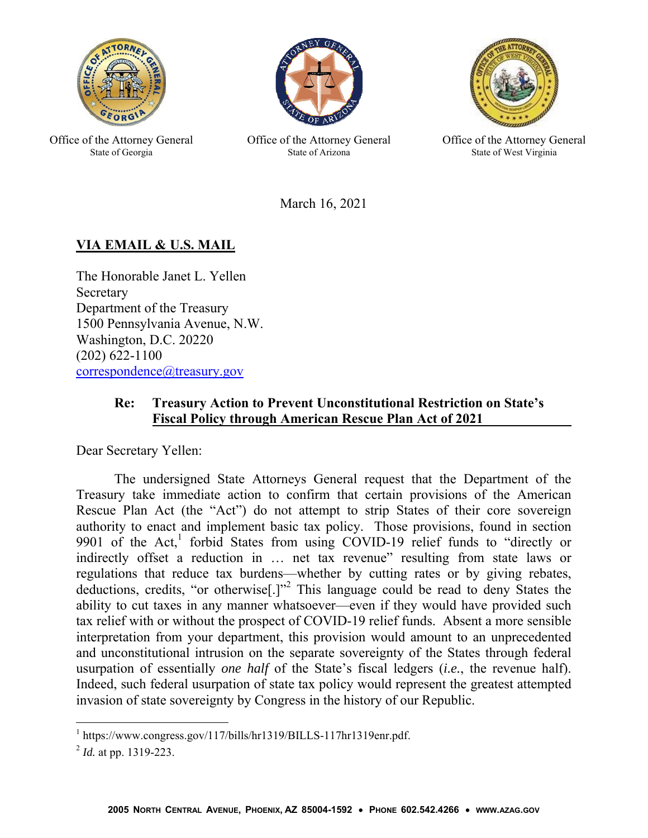

Office of the Attorney General State of Georgia



Office of the Attorney General State of Arizona



Office of the Attorney General State of West Virginia

March 16, 2021

## **VIA EMAIL & U.S. MAIL**

The Honorable Janet L. Yellen Secretary Department of the Treasury 1500 Pennsylvania Avenue, N.W. Washington, D.C. 20220 (202) 622-1100 correspondence@treasury.gov

## **Re: Treasury Action to Prevent Unconstitutional Restriction on State's Fiscal Policy through American Rescue Plan Act of 2021**

Dear Secretary Yellen:

The undersigned State Attorneys General request that the Department of the Treasury take immediate action to confirm that certain provisions of the American Rescue Plan Act (the "Act") do not attempt to strip States of their core sovereign authority to enact and implement basic tax policy. Those provisions, found in section 9901 of the Act,<sup>1</sup> forbid States from using COVID-19 relief funds to "directly or indirectly offset a reduction in ... net tax revenue" resulting from state laws or regulations that reduce tax burdens—whether by cutting rates or by giving rebates, deductions, credits, "or otherwise<sup>[1]"2</sup> This language could be read to deny States the ability to cut taxes in any manner whatsoever—even if they would have provided such tax relief with or without the prospect of COVID-19 relief funds. Absent a more sensible interpretation from your department, this provision would amount to an unprecedented and unconstitutional intrusion on the separate sovereignty of the States through federal usurpation of essentially *one half* of the State's fiscal ledgers (*i.e.*, the revenue half). Indeed, such federal usurpation of state tax policy would represent the greatest attempted invasion of state sovereignty by Congress in the history of our Republic.

 $\overline{a}$ 

<sup>&</sup>lt;sup>1</sup> https://www.congress.gov/117/bills/hr1319/BILLS-117hr1319enr.pdf.

<sup>2</sup> *Id.* at pp. 1319-223.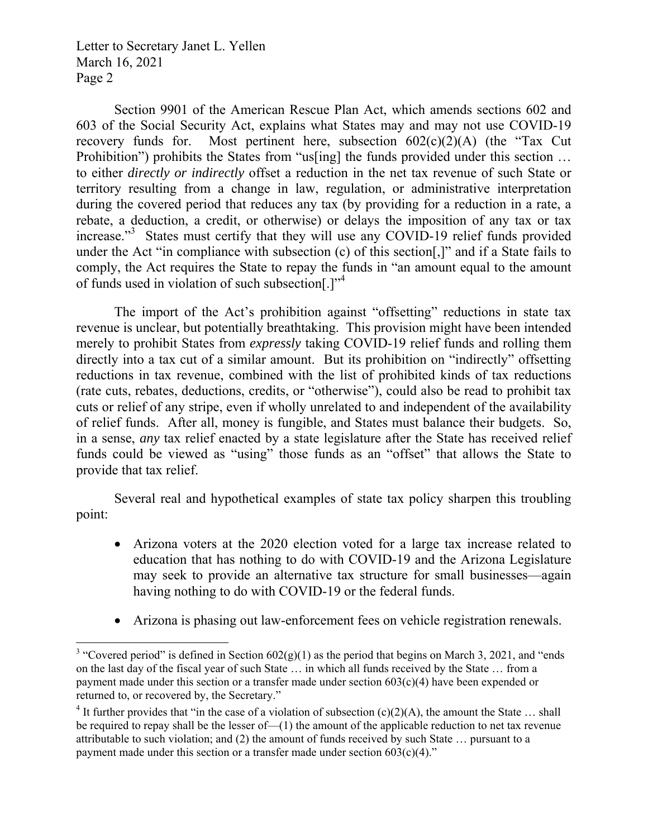Section 9901 of the American Rescue Plan Act, which amends sections 602 and 603 of the Social Security Act, explains what States may and may not use COVID-19 recovery funds for. Most pertinent here, subsection  $602(c)(2)(A)$  (the "Tax Cut Prohibition") prohibits the States from "us[ing] the funds provided under this section ... to either *directly or indirectly* offset a reduction in the net tax revenue of such State or territory resulting from a change in law, regulation, or administrative interpretation during the covered period that reduces any tax (by providing for a reduction in a rate, a rebate, a deduction, a credit, or otherwise) or delays the imposition of any tax or tax increase."<sup>3</sup> States must certify that they will use any COVID-19 relief funds provided under the Act "in compliance with subsection (c) of this section[,]" and if a State fails to comply, the Act requires the State to repay the funds in "an amount equal to the amount of funds used in violation of such subsection.]"<sup>4</sup>

The import of the Act's prohibition against "offsetting" reductions in state tax revenue is unclear, but potentially breathtaking. This provision might have been intended merely to prohibit States from *expressly* taking COVID-19 relief funds and rolling them directly into a tax cut of a similar amount. But its prohibition on "indirectly" offsetting reductions in tax revenue, combined with the list of prohibited kinds of tax reductions (rate cuts, rebates, deductions, credits, or "otherwise"), could also be read to prohibit tax cuts or relief of any stripe, even if wholly unrelated to and independent of the availability of relief funds. After all, money is fungible, and States must balance their budgets. So, in a sense, *any* tax relief enacted by a state legislature after the State has received relief funds could be viewed as "using" those funds as an "offset" that allows the State to provide that tax relief.

Several real and hypothetical examples of state tax policy sharpen this troubling point:

- Arizona voters at the 2020 election voted for a large tax increase related to education that has nothing to do with COVID-19 and the Arizona Legislature may seek to provide an alternative tax structure for small businesses—again having nothing to do with COVID-19 or the federal funds.
- Arizona is phasing out law-enforcement fees on vehicle registration renewals.

<sup>&</sup>lt;sup>3</sup> "Covered period" is defined in Section  $602(g)(1)$  as the period that begins on March 3, 2021, and "ends" on the last day of the fiscal year of such State … in which all funds received by the State … from a payment made under this section or a transfer made under section  $603(c)(4)$  have been expended or returned to, or recovered by, the Secretary."

<sup>&</sup>lt;sup>4</sup> It further provides that "in the case of a violation of subsection (c)(2)(A), the amount the State ... shall be required to repay shall be the lesser of—(1) the amount of the applicable reduction to net tax revenue attributable to such violation; and (2) the amount of funds received by such State … pursuant to a payment made under this section or a transfer made under section  $603(c)(4)$ ."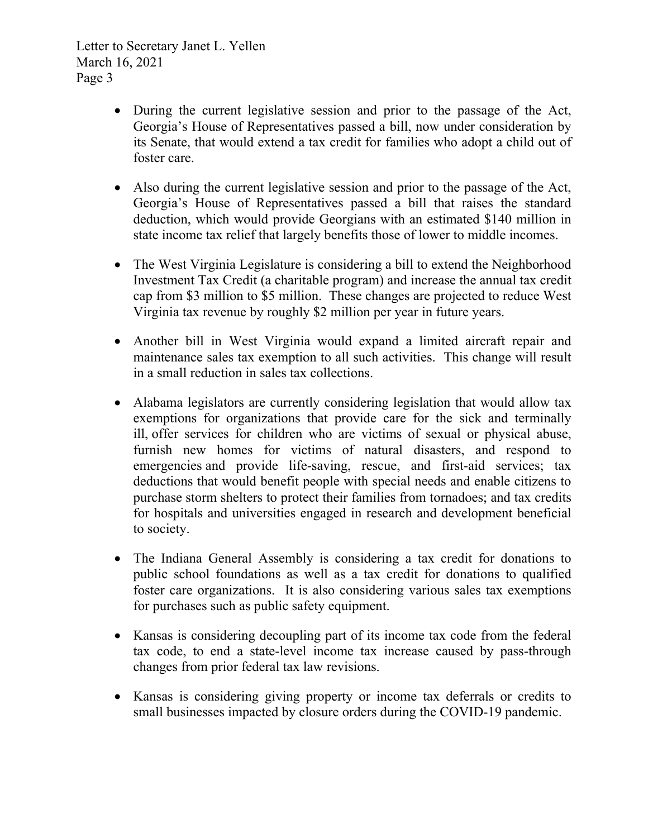- During the current legislative session and prior to the passage of the Act, Georgia's House of Representatives passed a bill, now under consideration by its Senate, that would extend a tax credit for families who adopt a child out of foster care.
- Also during the current legislative session and prior to the passage of the Act, Georgia's House of Representatives passed a bill that raises the standard deduction, which would provide Georgians with an estimated \$140 million in state income tax relief that largely benefits those of lower to middle incomes.
- The West Virginia Legislature is considering a bill to extend the Neighborhood Investment Tax Credit (a charitable program) and increase the annual tax credit cap from \$3 million to \$5 million. These changes are projected to reduce West Virginia tax revenue by roughly \$2 million per year in future years.
- Another bill in West Virginia would expand a limited aircraft repair and maintenance sales tax exemption to all such activities. This change will result in a small reduction in sales tax collections.
- Alabama legislators are currently considering legislation that would allow tax exemptions for organizations that provide care for the sick and terminally ill, offer services for children who are victims of sexual or physical abuse, furnish new homes for victims of natural disasters, and respond to emergencies and provide life-saving, rescue, and first-aid services; tax deductions that would benefit people with special needs and enable citizens to purchase storm shelters to protect their families from tornadoes; and tax credits for hospitals and universities engaged in research and development beneficial to society.
- The Indiana General Assembly is considering a tax credit for donations to public school foundations as well as a tax credit for donations to qualified foster care organizations. It is also considering various sales tax exemptions for purchases such as public safety equipment.
- Kansas is considering decoupling part of its income tax code from the federal tax code, to end a state-level income tax increase caused by pass-through changes from prior federal tax law revisions.
- Kansas is considering giving property or income tax deferrals or credits to small businesses impacted by closure orders during the COVID-19 pandemic.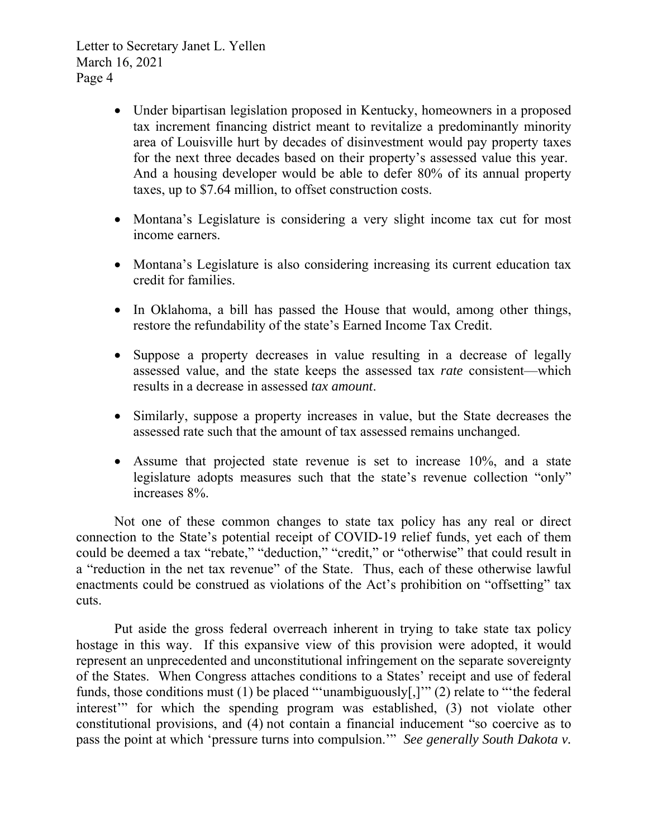- Under bipartisan legislation proposed in Kentucky, homeowners in a proposed tax increment financing district meant to revitalize a predominantly minority area of Louisville hurt by decades of disinvestment would pay property taxes for the next three decades based on their property's assessed value this year. And a housing developer would be able to defer 80% of its annual property taxes, up to \$7.64 million, to offset construction costs.
- Montana's Legislature is considering a very slight income tax cut for most income earners.
- Montana's Legislature is also considering increasing its current education tax credit for families.
- In Oklahoma, a bill has passed the House that would, among other things, restore the refundability of the state's Earned Income Tax Credit.
- Suppose a property decreases in value resulting in a decrease of legally assessed value, and the state keeps the assessed tax *rate* consistent—which results in a decrease in assessed *tax amount*.
- Similarly, suppose a property increases in value, but the State decreases the assessed rate such that the amount of tax assessed remains unchanged.
- Assume that projected state revenue is set to increase 10%, and a state legislature adopts measures such that the state's revenue collection "only" increases 8%.

Not one of these common changes to state tax policy has any real or direct connection to the State's potential receipt of COVID-19 relief funds, yet each of them could be deemed a tax "rebate," "deduction," "credit," or "otherwise" that could result in a "reduction in the net tax revenue" of the State. Thus, each of these otherwise lawful enactments could be construed as violations of the Act's prohibition on "offsetting" tax cuts.

Put aside the gross federal overreach inherent in trying to take state tax policy hostage in this way. If this expansive view of this provision were adopted, it would represent an unprecedented and unconstitutional infringement on the separate sovereignty of the States. When Congress attaches conditions to a States' receipt and use of federal funds, those conditions must (1) be placed "'unambiguously[,]'" (2) relate to "'the federal interest'" for which the spending program was established, (3) not violate other constitutional provisions, and (4) not contain a financial inducement "so coercive as to pass the point at which 'pressure turns into compulsion.'" *See generally South Dakota v.*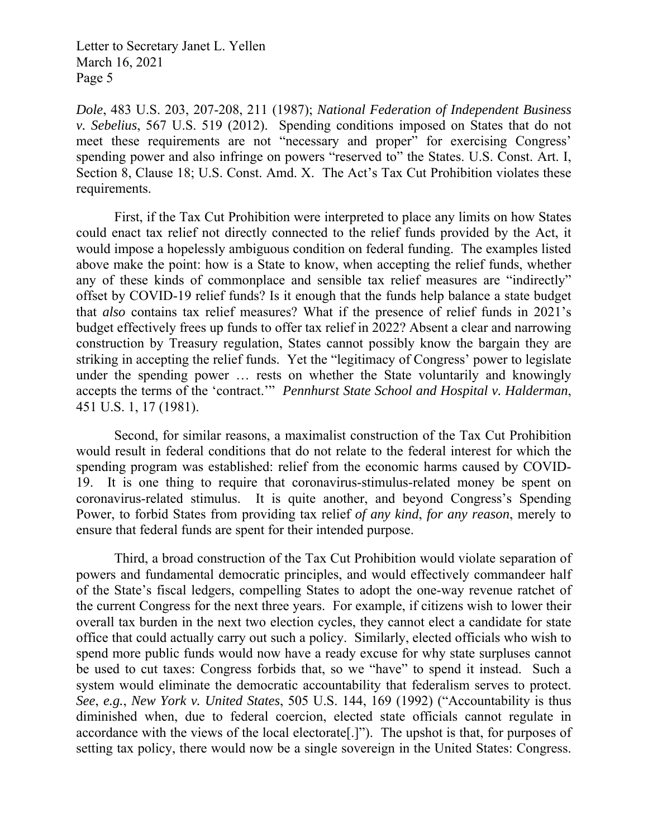*Dole*, 483 U.S. 203, 207-208, 211 (1987); *National Federation of Independent Business v. Sebelius*, 567 U.S. 519 (2012). Spending conditions imposed on States that do not meet these requirements are not "necessary and proper" for exercising Congress' spending power and also infringe on powers "reserved to" the States. U.S. Const. Art. I, Section 8, Clause 18; U.S. Const. Amd. X. The Act's Tax Cut Prohibition violates these requirements.

First, if the Tax Cut Prohibition were interpreted to place any limits on how States could enact tax relief not directly connected to the relief funds provided by the Act, it would impose a hopelessly ambiguous condition on federal funding. The examples listed above make the point: how is a State to know, when accepting the relief funds, whether any of these kinds of commonplace and sensible tax relief measures are "indirectly" offset by COVID-19 relief funds? Is it enough that the funds help balance a state budget that *also* contains tax relief measures? What if the presence of relief funds in 2021's budget effectively frees up funds to offer tax relief in 2022? Absent a clear and narrowing construction by Treasury regulation, States cannot possibly know the bargain they are striking in accepting the relief funds. Yet the "legitimacy of Congress' power to legislate under the spending power … rests on whether the State voluntarily and knowingly accepts the terms of the 'contract.'" *Pennhurst State School and Hospital v. Halderman*, 451 U.S. 1, 17 (1981).

Second, for similar reasons, a maximalist construction of the Tax Cut Prohibition would result in federal conditions that do not relate to the federal interest for which the spending program was established: relief from the economic harms caused by COVID-19. It is one thing to require that coronavirus-stimulus-related money be spent on coronavirus-related stimulus. It is quite another, and beyond Congress's Spending Power, to forbid States from providing tax relief *of any kind*, *for any reason*, merely to ensure that federal funds are spent for their intended purpose.

Third, a broad construction of the Tax Cut Prohibition would violate separation of powers and fundamental democratic principles, and would effectively commandeer half of the State's fiscal ledgers, compelling States to adopt the one-way revenue ratchet of the current Congress for the next three years. For example, if citizens wish to lower their overall tax burden in the next two election cycles, they cannot elect a candidate for state office that could actually carry out such a policy. Similarly, elected officials who wish to spend more public funds would now have a ready excuse for why state surpluses cannot be used to cut taxes: Congress forbids that, so we "have" to spend it instead. Such a system would eliminate the democratic accountability that federalism serves to protect. *See*, *e.g.*, *New York v. United States*, 505 U.S. 144, 169 (1992) ("Accountability is thus diminished when, due to federal coercion, elected state officials cannot regulate in accordance with the views of the local electorate[.]"). The upshot is that, for purposes of setting tax policy, there would now be a single sovereign in the United States: Congress.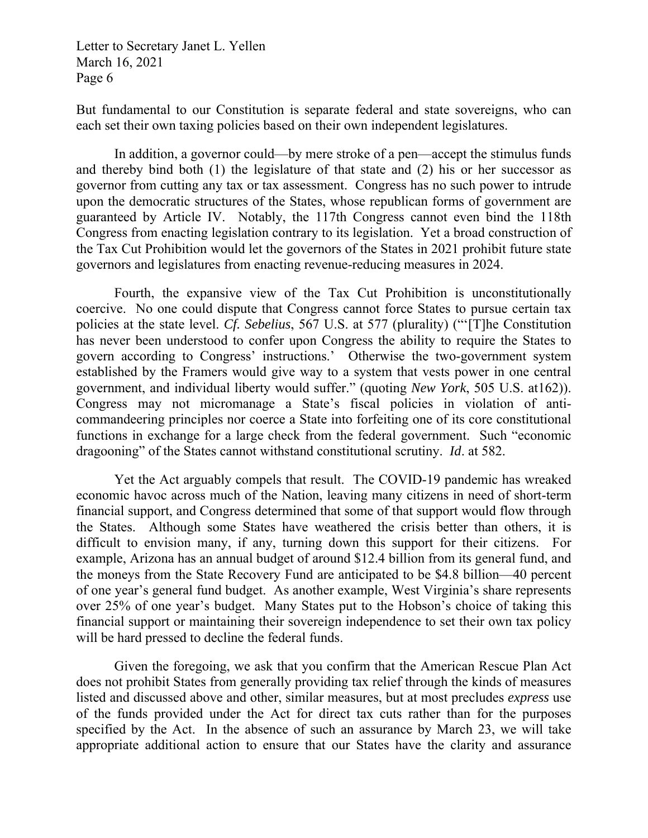But fundamental to our Constitution is separate federal and state sovereigns, who can each set their own taxing policies based on their own independent legislatures.

In addition, a governor could—by mere stroke of a pen—accept the stimulus funds and thereby bind both (1) the legislature of that state and (2) his or her successor as governor from cutting any tax or tax assessment. Congress has no such power to intrude upon the democratic structures of the States, whose republican forms of government are guaranteed by Article IV. Notably, the 117th Congress cannot even bind the 118th Congress from enacting legislation contrary to its legislation. Yet a broad construction of the Tax Cut Prohibition would let the governors of the States in 2021 prohibit future state governors and legislatures from enacting revenue-reducing measures in 2024.

Fourth, the expansive view of the Tax Cut Prohibition is unconstitutionally coercive. No one could dispute that Congress cannot force States to pursue certain tax policies at the state level. *Cf. Sebelius*, 567 U.S. at 577 (plurality) ("'[T]he Constitution has never been understood to confer upon Congress the ability to require the States to govern according to Congress' instructions.' Otherwise the two-government system established by the Framers would give way to a system that vests power in one central government, and individual liberty would suffer." (quoting *New York*, 505 U.S. at162)). Congress may not micromanage a State's fiscal policies in violation of anticommandeering principles nor coerce a State into forfeiting one of its core constitutional functions in exchange for a large check from the federal government. Such "economic dragooning" of the States cannot withstand constitutional scrutiny. *Id*. at 582.

Yet the Act arguably compels that result. The COVID-19 pandemic has wreaked economic havoc across much of the Nation, leaving many citizens in need of short-term financial support, and Congress determined that some of that support would flow through the States. Although some States have weathered the crisis better than others, it is difficult to envision many, if any, turning down this support for their citizens. For example, Arizona has an annual budget of around \$12.4 billion from its general fund, and the moneys from the State Recovery Fund are anticipated to be \$4.8 billion—40 percent of one year's general fund budget. As another example, West Virginia's share represents over 25% of one year's budget. Many States put to the Hobson's choice of taking this financial support or maintaining their sovereign independence to set their own tax policy will be hard pressed to decline the federal funds.

Given the foregoing, we ask that you confirm that the American Rescue Plan Act does not prohibit States from generally providing tax relief through the kinds of measures listed and discussed above and other, similar measures, but at most precludes *express* use of the funds provided under the Act for direct tax cuts rather than for the purposes specified by the Act. In the absence of such an assurance by March 23, we will take appropriate additional action to ensure that our States have the clarity and assurance